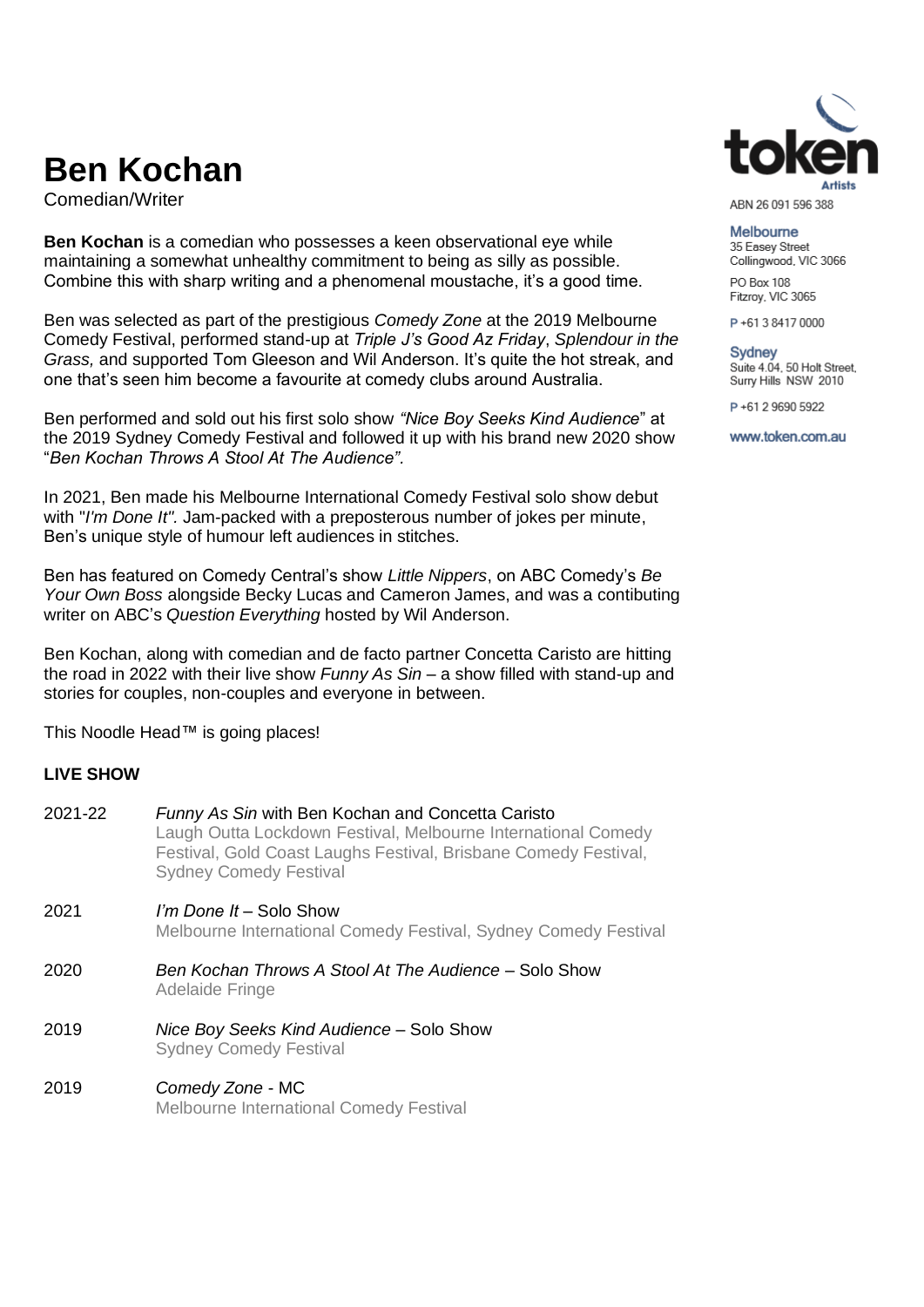# **Ben Kochan**

Comedian/Writer

**Ben Kochan** is a comedian who possesses a keen observational eye while maintaining a somewhat unhealthy commitment to being as silly as possible. Combine this with sharp writing and a phenomenal moustache, it's a good time.

Ben was selected as part of the prestigious *Comedy Zone* at the 2019 Melbourne Comedy Festival, performed stand-up at *Triple J's Good Az Friday*, *Splendour in the Grass,* and supported Tom Gleeson and Wil Anderson. It's quite the hot streak, and one that's seen him become a favourite at comedy clubs around Australia.

Ben performed and sold out his first solo show *"Nice Boy Seeks Kind Audience*" at the 2019 Sydney Comedy Festival and followed it up with his brand new 2020 show "*Ben Kochan Throws A Stool At The Audience".* 

In 2021, Ben made his Melbourne International Comedy Festival solo show debut with "*I'm Done It".* Jam-packed with a preposterous number of jokes per minute, Ben's unique style of humour left audiences in stitches.

Ben has featured on Comedy Central's show *Little Nippers*, on ABC Comedy's *Be Your Own Boss* alongside Becky Lucas and Cameron James, and was a contibuting writer on ABC's *Question Everything* hosted by Wil Anderson.

Ben Kochan, along with comedian and de facto partner Concetta Caristo are hitting the road in 2022 with their live show *Funny As Sin* – a show filled with stand-up and stories for couples, non-couples and everyone in between.

This Noodle Head™ is going places!

#### **LIVE SHOW**

| 2021-22 | Funny As Sin with Ben Kochan and Concetta Caristo<br>Laugh Outta Lockdown Festival, Melbourne International Comedy<br>Festival, Gold Coast Laughs Festival, Brisbane Comedy Festival,<br><b>Sydney Comedy Festival</b> |
|---------|------------------------------------------------------------------------------------------------------------------------------------------------------------------------------------------------------------------------|
| 2021    | <i>I'm Done It</i> – Solo Show<br>Melbourne International Comedy Festival, Sydney Comedy Festival                                                                                                                      |
| 2020    | Ben Kochan Throws A Stool At The Audience – Solo Show<br><b>Adelaide Fringe</b>                                                                                                                                        |
| 2019    | Nice Boy Seeks Kind Audience - Solo Show<br><b>Sydney Comedy Festival</b>                                                                                                                                              |
| 2019    | Comedy Zone - MC<br><b>Melbourne International Comedy Festival</b>                                                                                                                                                     |



ABN 26 091 596 388

Melbourne 35 Easey Street Collingwood, VIC 3066

PO Box 108 Fitzroy, VIC 3065

P+61384170000

Sydney Suite 4.04, 50 Holt Street, Surry Hills NSW 2010

P+61 2 9690 5922

www.token.com.au